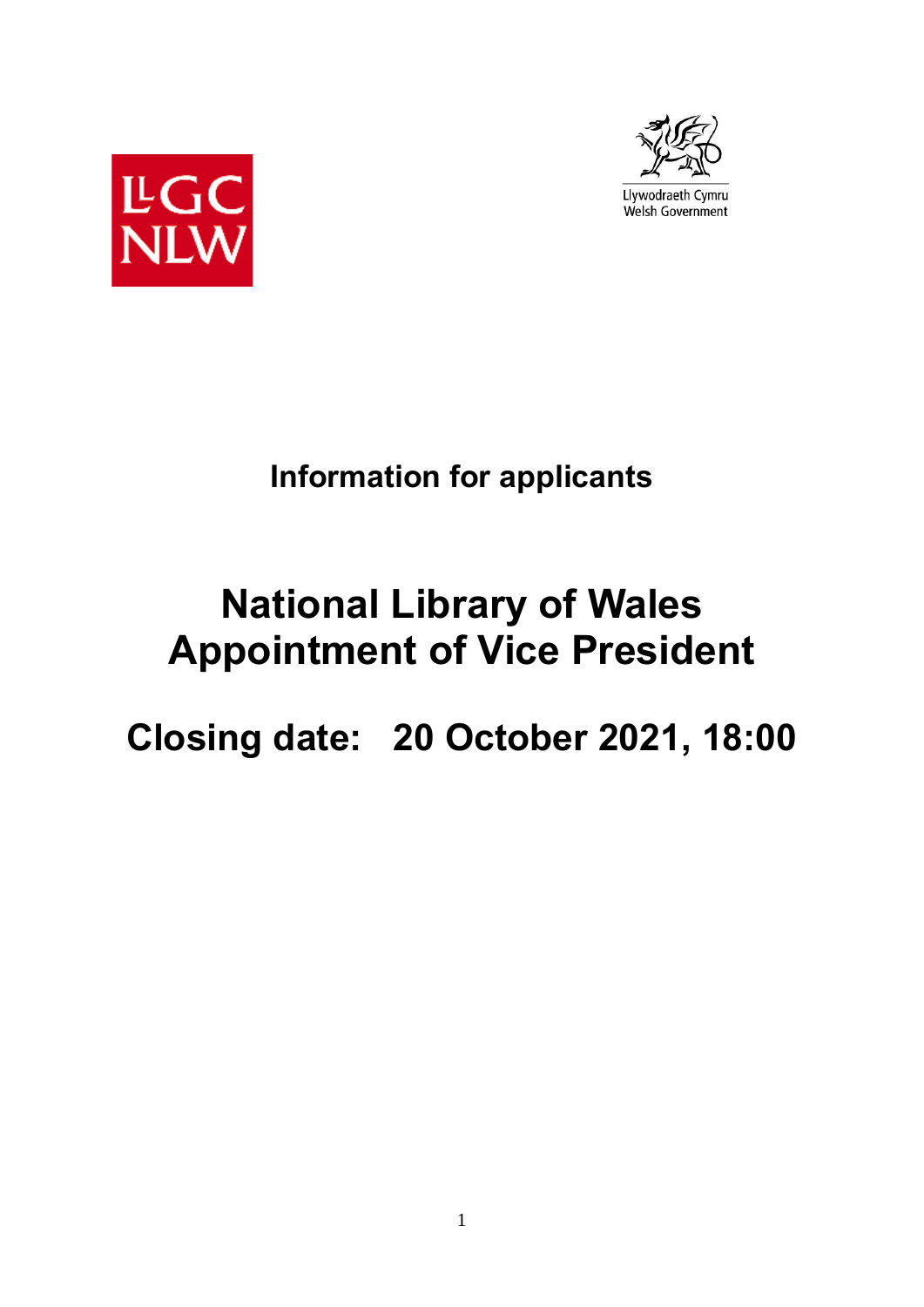



# **Information for applicants**

# **National Library of Wales Appointment of Vice President**

# **Closing date: 20 October 2021, 18:00**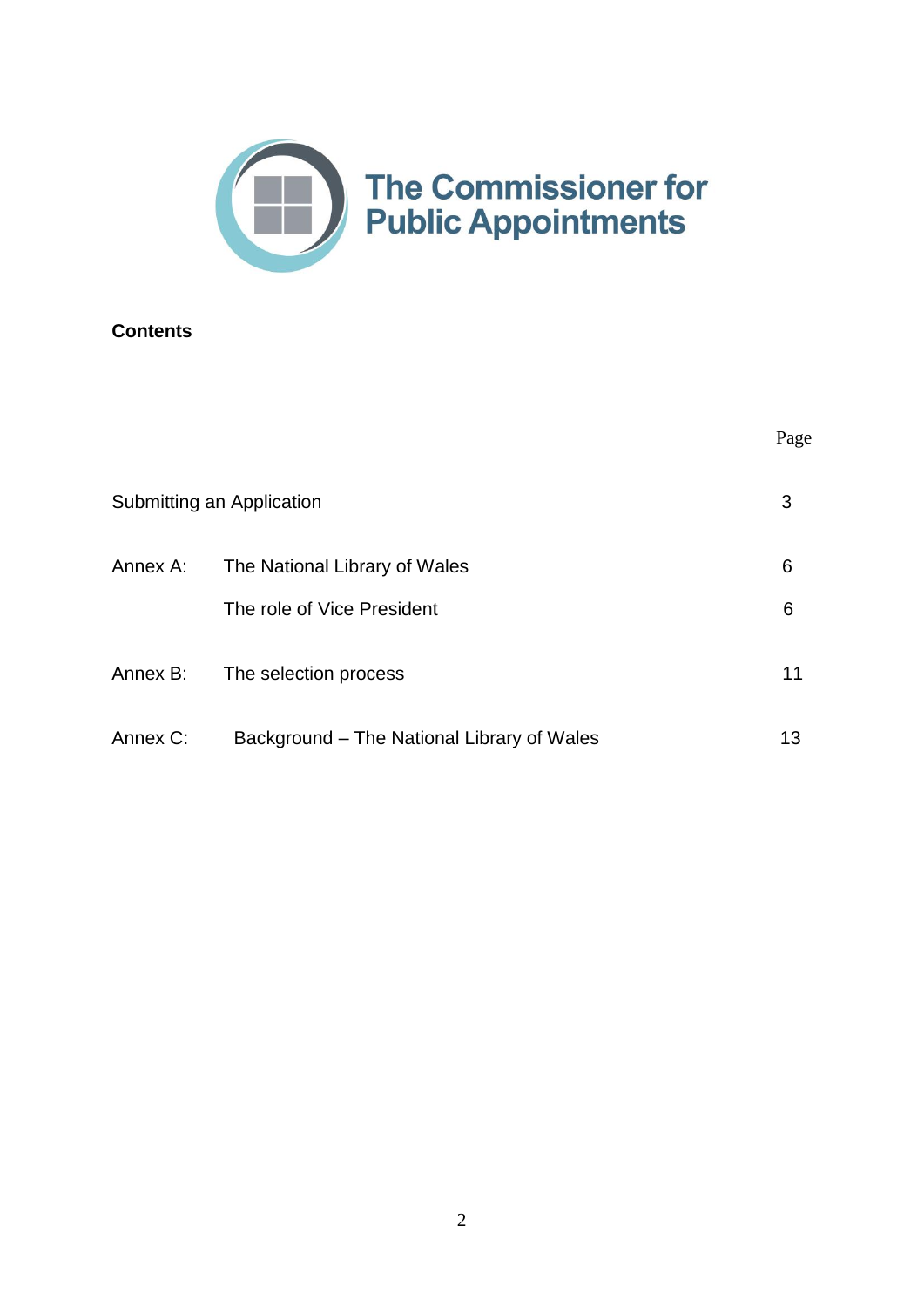

# **Contents**

|          |                                                     | Page    |
|----------|-----------------------------------------------------|---------|
|          | Submitting an Application                           | 3       |
| Annex A: | The National Library of Wales                       | 6       |
| Annex B: | The role of Vice President<br>The selection process | 6<br>11 |
| Annex C: | Background – The National Library of Wales          | 13      |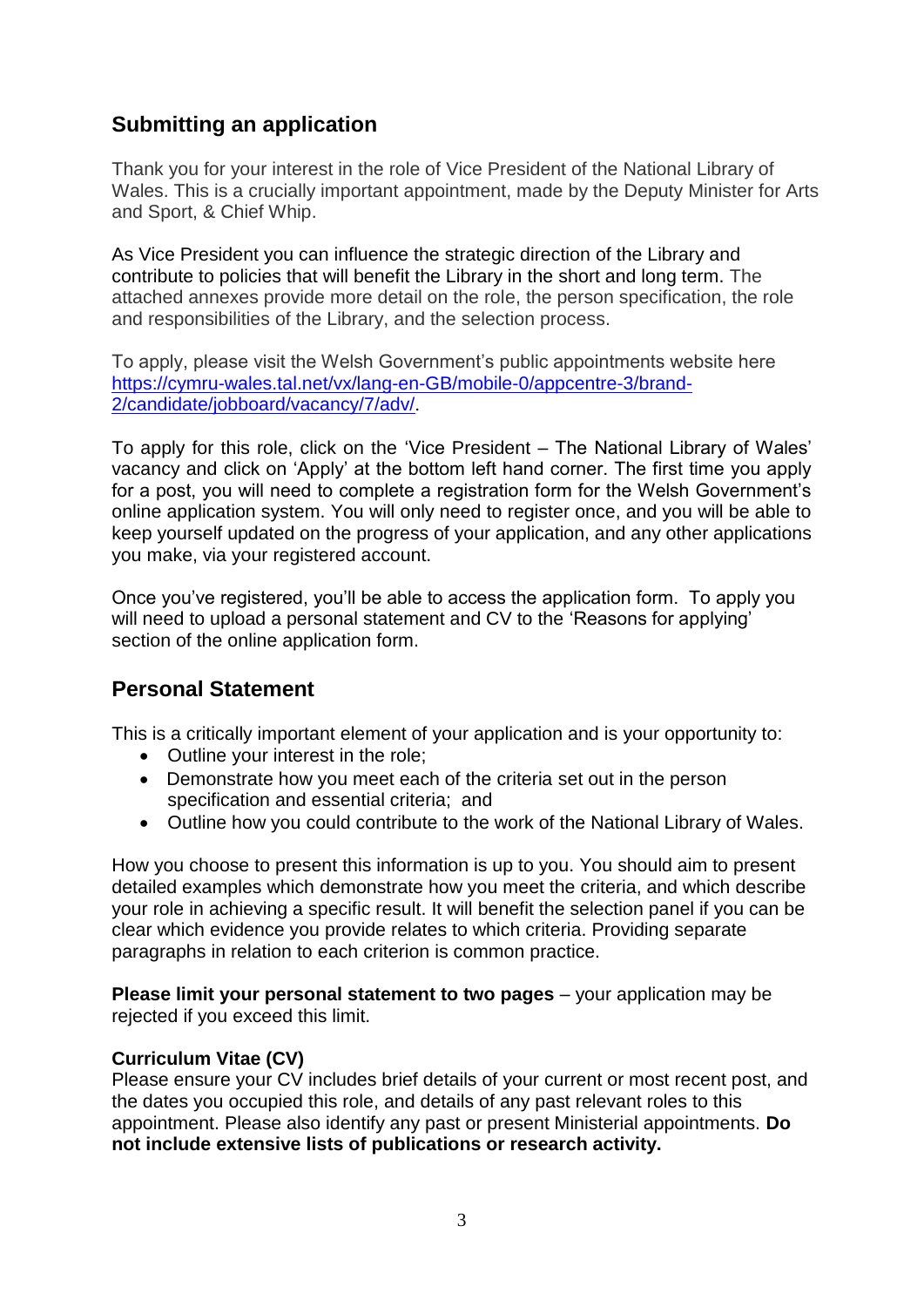# **Submitting an application**

Thank you for your interest in the role of Vice President of the National Library of Wales. This is a crucially important appointment, made by the Deputy Minister for Arts and Sport, & Chief Whip.

As Vice President you can influence the strategic direction of the Library and contribute to policies that will benefit the Library in the short and long term. The attached annexes provide more detail on the role, the person specification, the role and responsibilities of the Library, and the selection process.

To apply, please visit the Welsh Government's public appointments website here [https://cymru-wales.tal.net/vx/lang-en-GB/mobile-0/appcentre-3/brand-](https://cymru-wales.tal.net/vx/lang-en-GB/mobile-0/appcentre-3/brand-2/candidate/jobboard/vacancy/7/adv/)[2/candidate/jobboard/vacancy/7/adv/](https://cymru-wales.tal.net/vx/lang-en-GB/mobile-0/appcentre-3/brand-2/candidate/jobboard/vacancy/7/adv/).

To apply for this role, click on the 'Vice President – The National Library of Wales' vacancy and click on 'Apply' at the bottom left hand corner. The first time you apply for a post, you will need to complete a registration form for the Welsh Government's online application system. You will only need to register once, and you will be able to keep yourself updated on the progress of your application, and any other applications you make, via your registered account.

Once you've registered, you'll be able to access the application form. To apply you will need to upload a personal statement and CV to the 'Reasons for applying' section of the online application form.

# **Personal Statement**

This is a critically important element of your application and is your opportunity to:

- Outline your interest in the role;
- Demonstrate how you meet each of the criteria set out in the person specification and essential criteria; and
- Outline how you could contribute to the work of the National Library of Wales.

How you choose to present this information is up to you. You should aim to present detailed examples which demonstrate how you meet the criteria, and which describe your role in achieving a specific result. It will benefit the selection panel if you can be clear which evidence you provide relates to which criteria. Providing separate paragraphs in relation to each criterion is common practice.

**Please limit your personal statement to two pages** – your application may be rejected if you exceed this limit.

# **Curriculum Vitae (CV)**

Please ensure your CV includes brief details of your current or most recent post, and the dates you occupied this role, and details of any past relevant roles to this appointment. Please also identify any past or present Ministerial appointments. **Do not include extensive lists of publications or research activity.**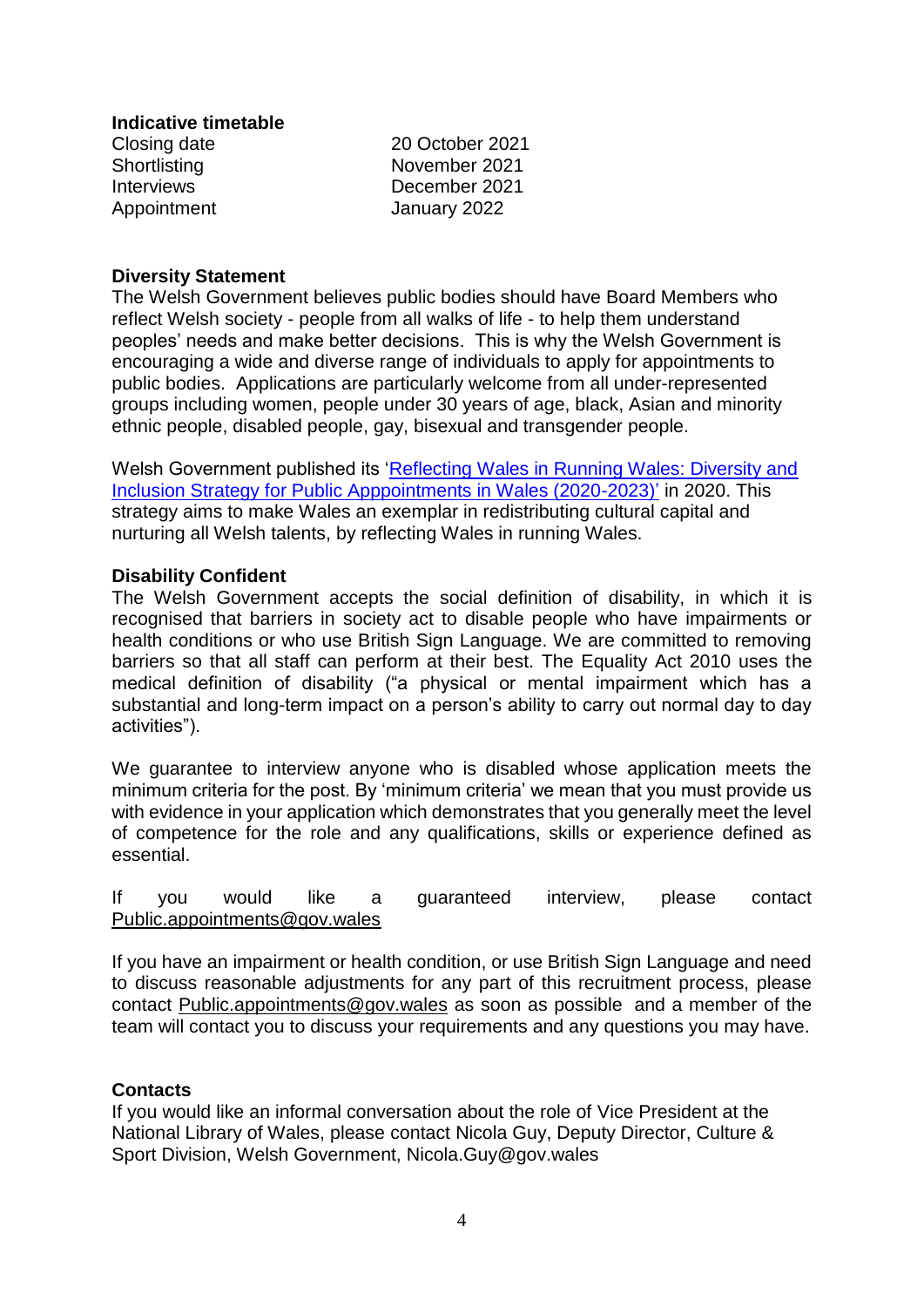#### **Indicative timetable**

Closing date 20 October 2021 Shortlisting November 2021 Interviews December 2021 Appointment January 2022

#### **Diversity Statement**

The Welsh Government believes public bodies should have Board Members who reflect Welsh society - people from all walks of life - to help them understand peoples' needs and make better decisions. This is why the Welsh Government is encouraging a wide and diverse range of individuals to apply for appointments to public bodies. Applications are particularly welcome from all under-represented groups including women, people under 30 years of age, black, Asian and minority ethnic people, disabled people, gay, bisexual and transgender people.

Welsh Government published its ['Reflecting Wales in Running Wales: Diversity and](https://gov.wales/sites/default/files/publications/2020-02/diversity-and-inclusion-strategy-for-public-appointments-2020-2023.pdf)  [Inclusion Strategy for Public Apppointments in Wales \(2020-2023\)'](https://gov.wales/sites/default/files/publications/2020-02/diversity-and-inclusion-strategy-for-public-appointments-2020-2023.pdf) in 2020. This strategy aims to make Wales an exemplar in redistributing cultural capital and nurturing all Welsh talents, by reflecting Wales in running Wales.

## **Disability Confident**

The Welsh Government accepts the social definition of disability, in which it is recognised that barriers in society act to disable people who have impairments or health conditions or who use British Sign Language. We are committed to removing barriers so that all staff can perform at their best. The Equality Act 2010 uses the medical definition of disability ("a physical or mental impairment which has a substantial and long-term impact on a person's ability to carry out normal day to day activities").

We guarantee to interview anyone who is disabled whose application meets the minimum criteria for the post. By 'minimum criteria' we mean that you must provide us with evidence in your application which demonstrates that you generally meet the level of competence for the role and any qualifications, skills or experience defined as essential.

If you would like a guaranteed interview, please contact [Public.appointments@gov.wales](mailto:Public.appointments@gov.wales)

If you have an impairment or health condition, or use British Sign Language and need to discuss reasonable adjustments for any part of this recruitment process, please contact [Public.appointments@gov.wales](mailto:Public.appointments@gov.wales) as soon as possible and a member of the team will contact you to discuss your requirements and any questions you may have.

#### **Contacts**

If you would like an informal conversation about the role of Vice President at the National Library of Wales, please contact Nicola Guy, Deputy Director, Culture & Sport Division, Welsh Government, Nicola.Guy@gov.wales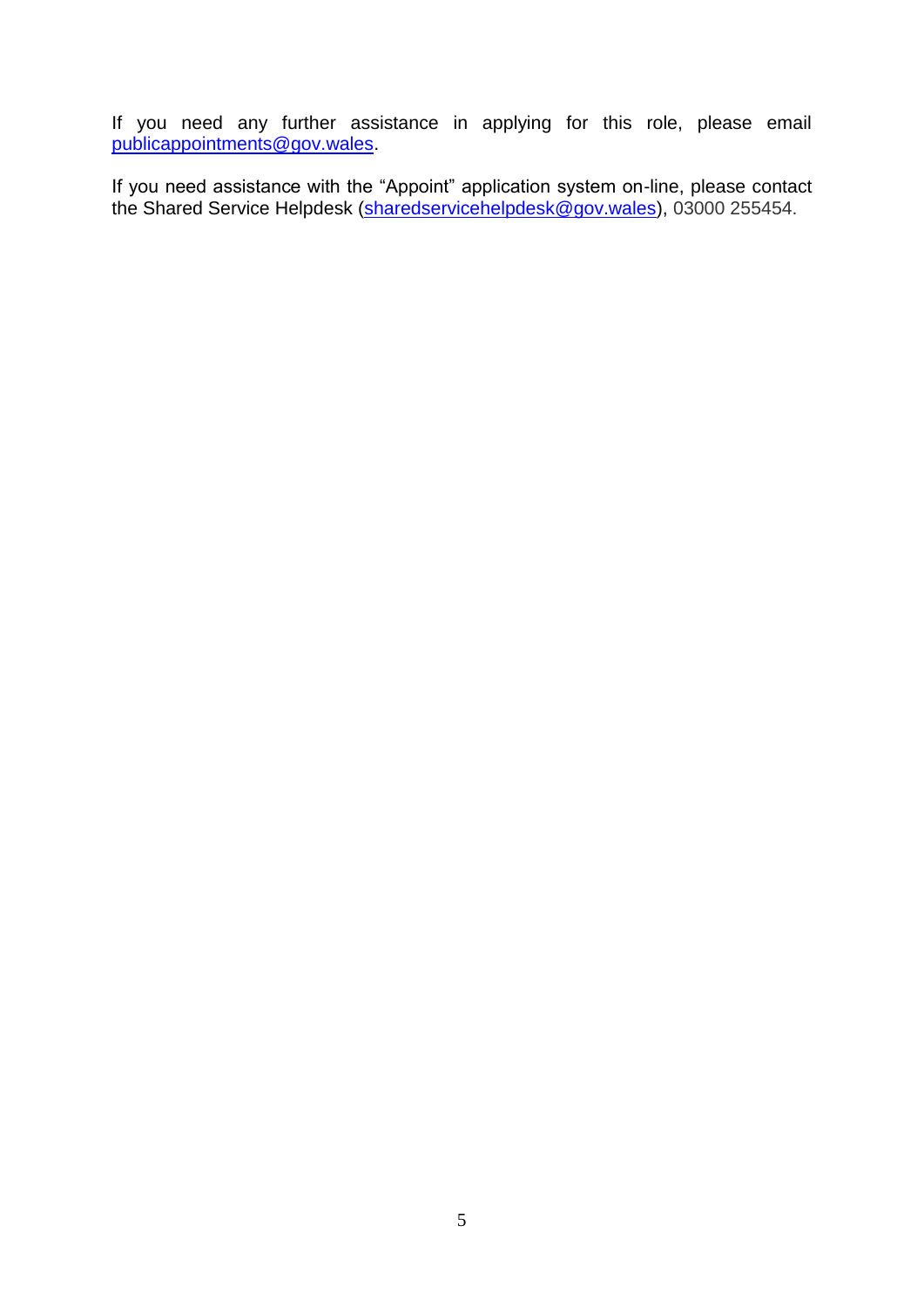If you need any further assistance in applying for this role, please email [publicappointments@gov.wales.](mailto:publicappointments@gov.wales)

If you need assistance with the "Appoint" application system on-line, please contact the Shared Service Helpdesk [\(sharedservicehelpdesk@gov.wales\)](mailto:sharedservicehelpdesk@gov.wales), 03000 255454.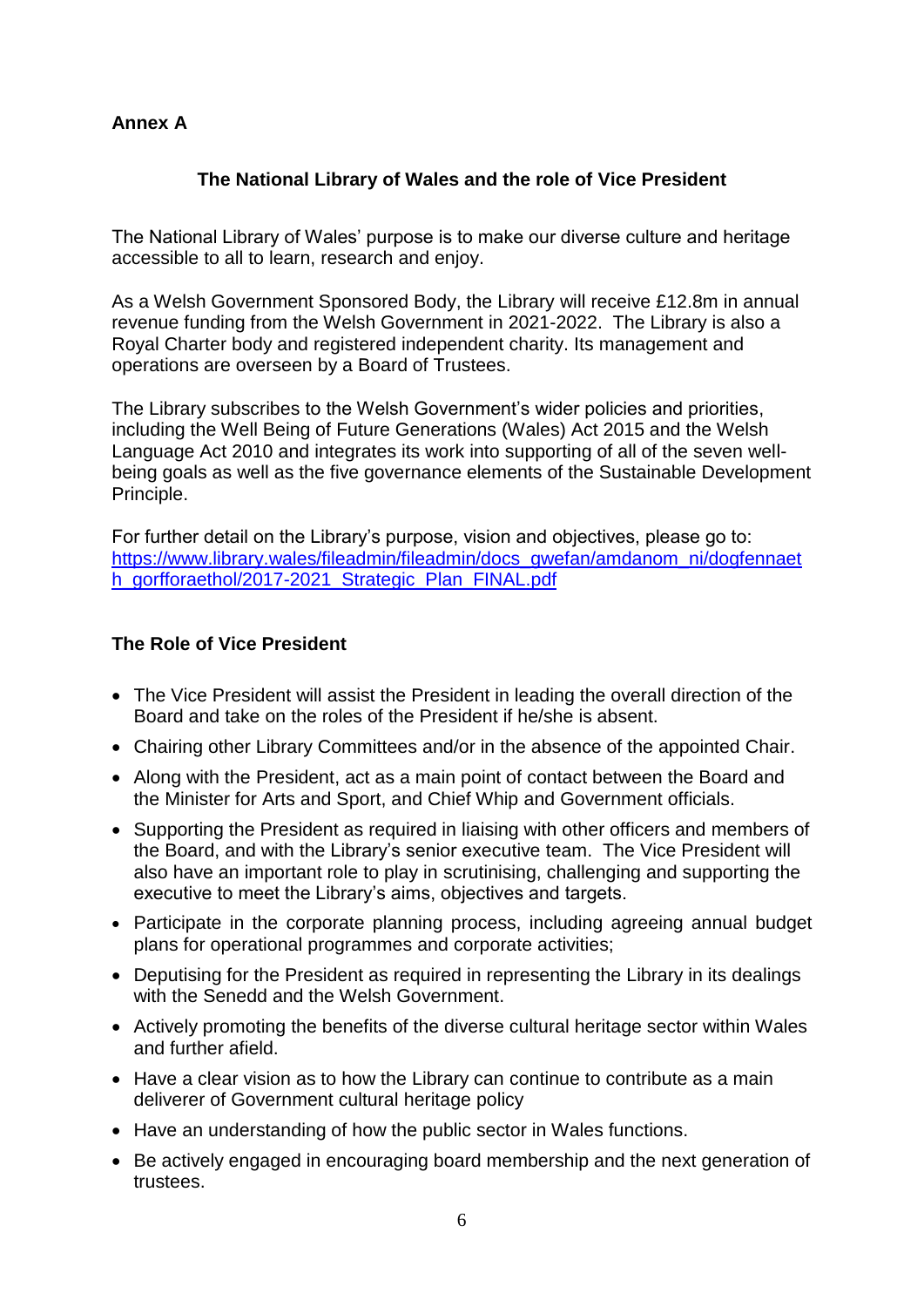# **Annex A**

# **The National Library of Wales and the role of Vice President**

The National Library of Wales' purpose is to make our diverse culture and heritage accessible to all to learn, research and enjoy.

As a Welsh Government Sponsored Body, the Library will receive £12.8m in annual revenue funding from the Welsh Government in 2021-2022. The Library is also a Royal Charter body and registered independent charity. Its management and operations are overseen by a Board of Trustees.

The Library subscribes to the Welsh Government's wider policies and priorities, including the Well Being of Future Generations (Wales) Act 2015 and the Welsh Language Act 2010 and integrates its work into supporting of all of the seven wellbeing goals as well as the five governance elements of the Sustainable Development Principle.

For further detail on the Library's purpose, vision and objectives, please go to: [https://www.library.wales/fileadmin/fileadmin/docs\\_gwefan/amdanom\\_ni/dogfennaet](https://www.library.wales/fileadmin/fileadmin/docs_gwefan/amdanom_ni/dogfennaeth_gorfforaethol/2017-2021_Strategic_Plan_FINAL.pdf) [h\\_gorfforaethol/2017-2021\\_Strategic\\_Plan\\_FINAL.pdf](https://www.library.wales/fileadmin/fileadmin/docs_gwefan/amdanom_ni/dogfennaeth_gorfforaethol/2017-2021_Strategic_Plan_FINAL.pdf)

## **The Role of Vice President**

- The Vice President will assist the President in leading the overall direction of the Board and take on the roles of the President if he/she is absent.
- Chairing other Library Committees and/or in the absence of the appointed Chair.
- Along with the President, act as a main point of contact between the Board and the Minister for Arts and Sport, and Chief Whip and Government officials.
- Supporting the President as required in liaising with other officers and members of the Board, and with the Library's senior executive team. The Vice President will also have an important role to play in scrutinising, challenging and supporting the executive to meet the Library's aims, objectives and targets.
- Participate in the corporate planning process, including agreeing annual budget plans for operational programmes and corporate activities;
- Deputising for the President as required in representing the Library in its dealings with the Senedd and the Welsh Government.
- Actively promoting the benefits of the diverse cultural heritage sector within Wales and further afield.
- Have a clear vision as to how the Library can continue to contribute as a main deliverer of Government cultural heritage policy
- Have an understanding of how the public sector in Wales functions.
- Be actively engaged in encouraging board membership and the next generation of trustees.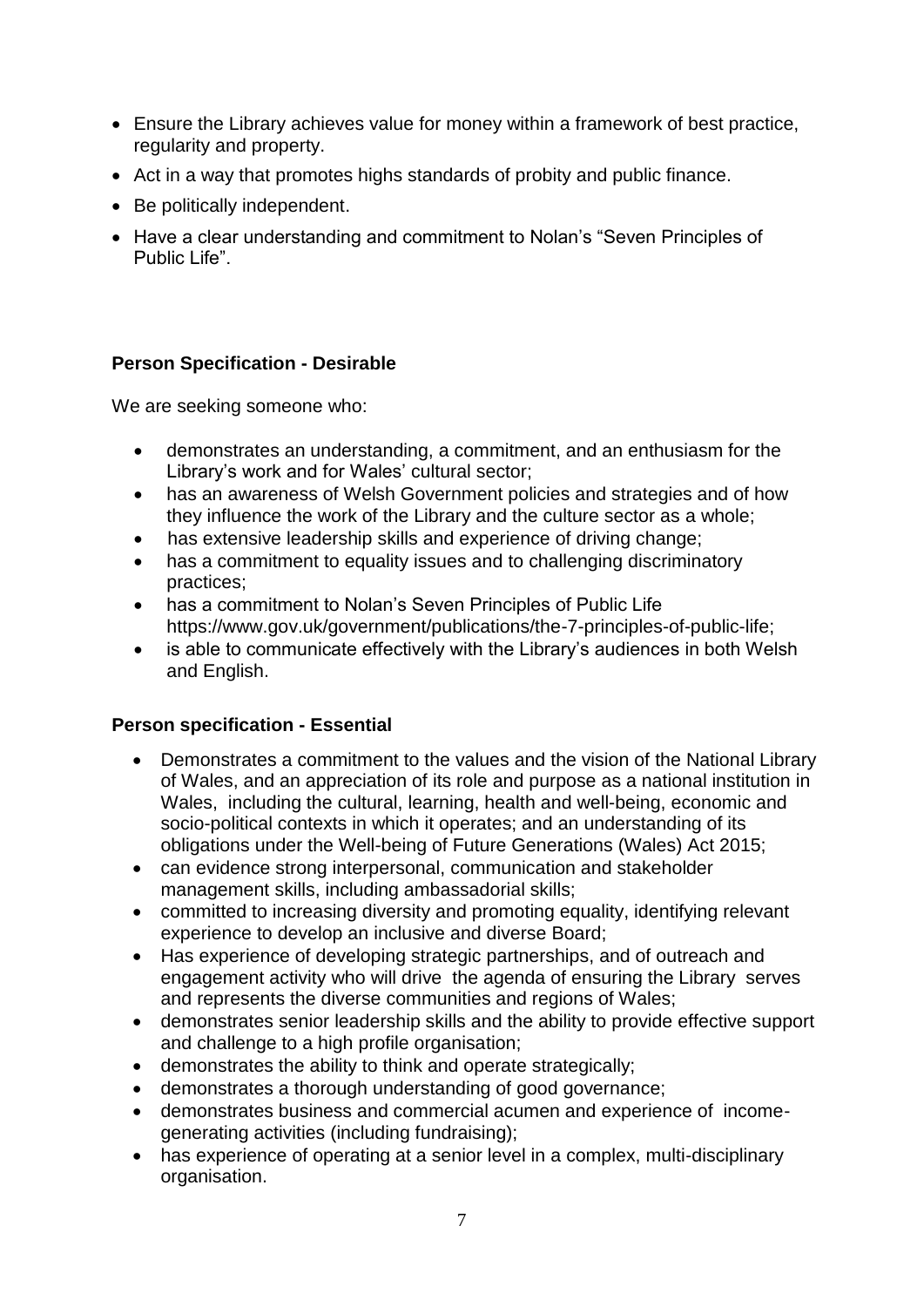- Ensure the Library achieves value for money within a framework of best practice, regularity and property.
- Act in a way that promotes highs standards of probity and public finance.
- Be politically independent.
- Have a clear understanding and commitment to Nolan's "Seven Principles of Public Life".

# **Person Specification - Desirable**

We are seeking someone who:

- demonstrates an understanding, a commitment, and an enthusiasm for the Library's work and for Wales' cultural sector;
- has an awareness of Welsh Government policies and strategies and of how they influence the work of the Library and the culture sector as a whole;
- has extensive leadership skills and experience of driving change;
- has a commitment to equality issues and to challenging discriminatory practices;
- has a commitment to Nolan's Seven Principles of Public Lif[e](https://www.gov.uk/government/publications/the-7-principles-of-public-life) [https://www.gov.uk/government/publications/the-7-principles-of-public-life;](https://www.gov.uk/government/publications/the-7-principles-of-public-life)
- is able to communicate effectively with the Library's audiences in both Welsh and English.

# **Person specification - Essential**

- Demonstrates a commitment to the values and the vision of the National Library of Wales, and an appreciation of its role and purpose as a national institution in Wales, including the cultural, learning, health and well-being, economic and socio-political contexts in which it operates; and an understanding of its obligations under the Well-being of Future Generations (Wales) Act 2015;
- can evidence strong interpersonal, communication and stakeholder management skills, including ambassadorial skills;
- committed to increasing diversity and promoting equality, identifying relevant experience to develop an inclusive and diverse Board;
- Has experience of developing strategic partnerships, and of outreach and engagement activity who will drive the agenda of ensuring the Library serves and represents the diverse communities and regions of Wales;
- demonstrates senior leadership skills and the ability to provide effective support and challenge to a high profile organisation;
- demonstrates the ability to think and operate strategically;
- demonstrates a thorough understanding of good governance;
- demonstrates business and commercial acumen and experience of incomegenerating activities (including fundraising);
- has experience of operating at a senior level in a complex, multi-disciplinary organisation.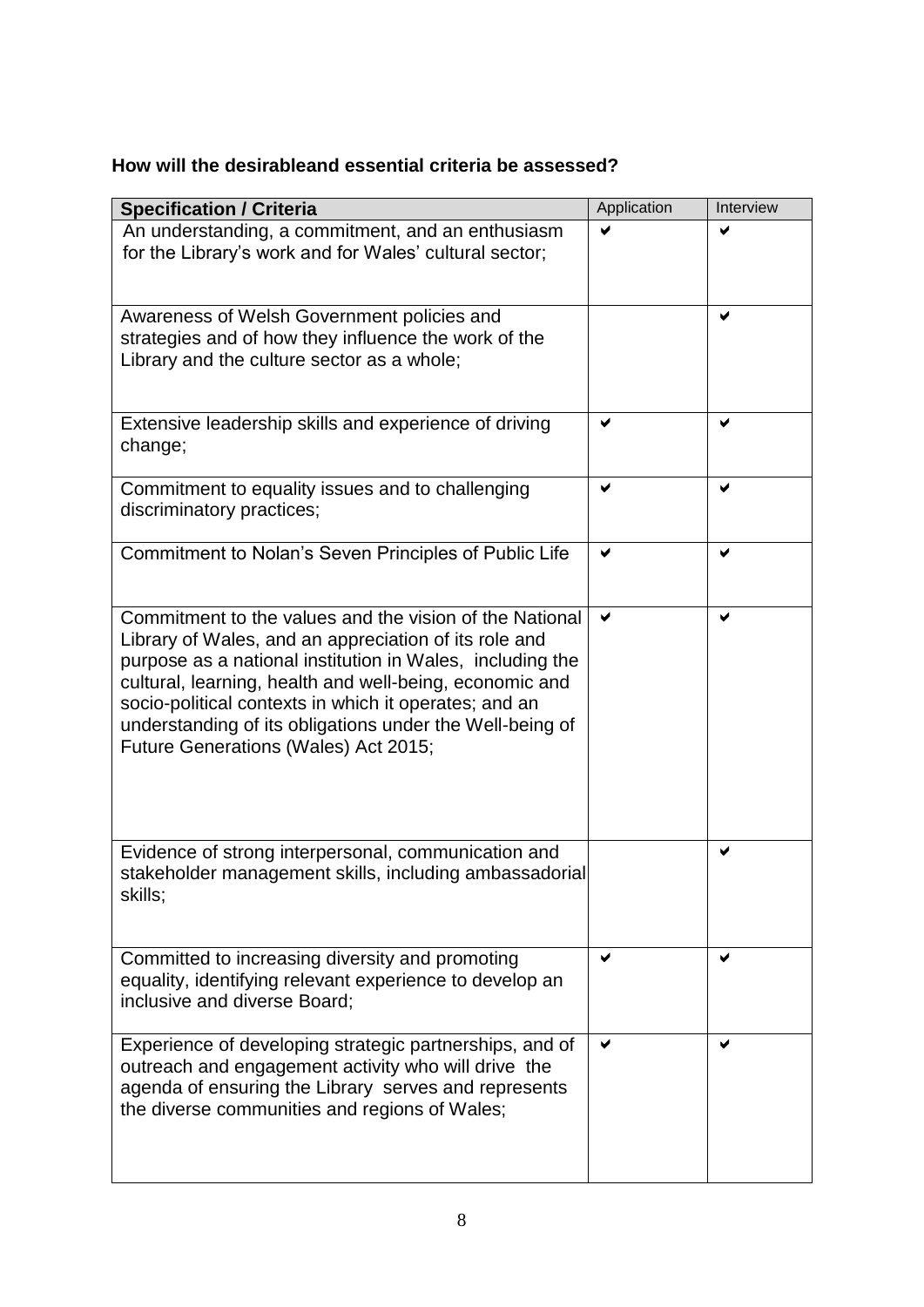# **How will the desirableand essential criteria be assessed?**

| <b>Specification / Criteria</b>                                                                                                                                                                                                                                                                                                                                                                       | Application | Interview |
|-------------------------------------------------------------------------------------------------------------------------------------------------------------------------------------------------------------------------------------------------------------------------------------------------------------------------------------------------------------------------------------------------------|-------------|-----------|
| An understanding, a commitment, and an enthusiasm<br>for the Library's work and for Wales' cultural sector;                                                                                                                                                                                                                                                                                           |             |           |
| Awareness of Welsh Government policies and<br>strategies and of how they influence the work of the<br>Library and the culture sector as a whole;                                                                                                                                                                                                                                                      |             | ✔         |
| Extensive leadership skills and experience of driving<br>change;                                                                                                                                                                                                                                                                                                                                      | ✔           | ✔         |
| Commitment to equality issues and to challenging<br>discriminatory practices;                                                                                                                                                                                                                                                                                                                         | ✔           | ✔         |
| Commitment to Nolan's Seven Principles of Public Life                                                                                                                                                                                                                                                                                                                                                 | ✔           | ✔         |
| Commitment to the values and the vision of the National<br>Library of Wales, and an appreciation of its role and<br>purpose as a national institution in Wales, including the<br>cultural, learning, health and well-being, economic and<br>socio-political contexts in which it operates; and an<br>understanding of its obligations under the Well-being of<br>Future Generations (Wales) Act 2015; | ✔           | ✔         |
| Evidence of strong interpersonal, communication and<br>stakeholder management skills, including ambassadorial<br>skills;                                                                                                                                                                                                                                                                              |             | ✔         |
| Committed to increasing diversity and promoting<br>equality, identifying relevant experience to develop an<br>inclusive and diverse Board;                                                                                                                                                                                                                                                            |             |           |
| Experience of developing strategic partnerships, and of<br>outreach and engagement activity who will drive the<br>agenda of ensuring the Library serves and represents<br>the diverse communities and regions of Wales;                                                                                                                                                                               |             | ✔         |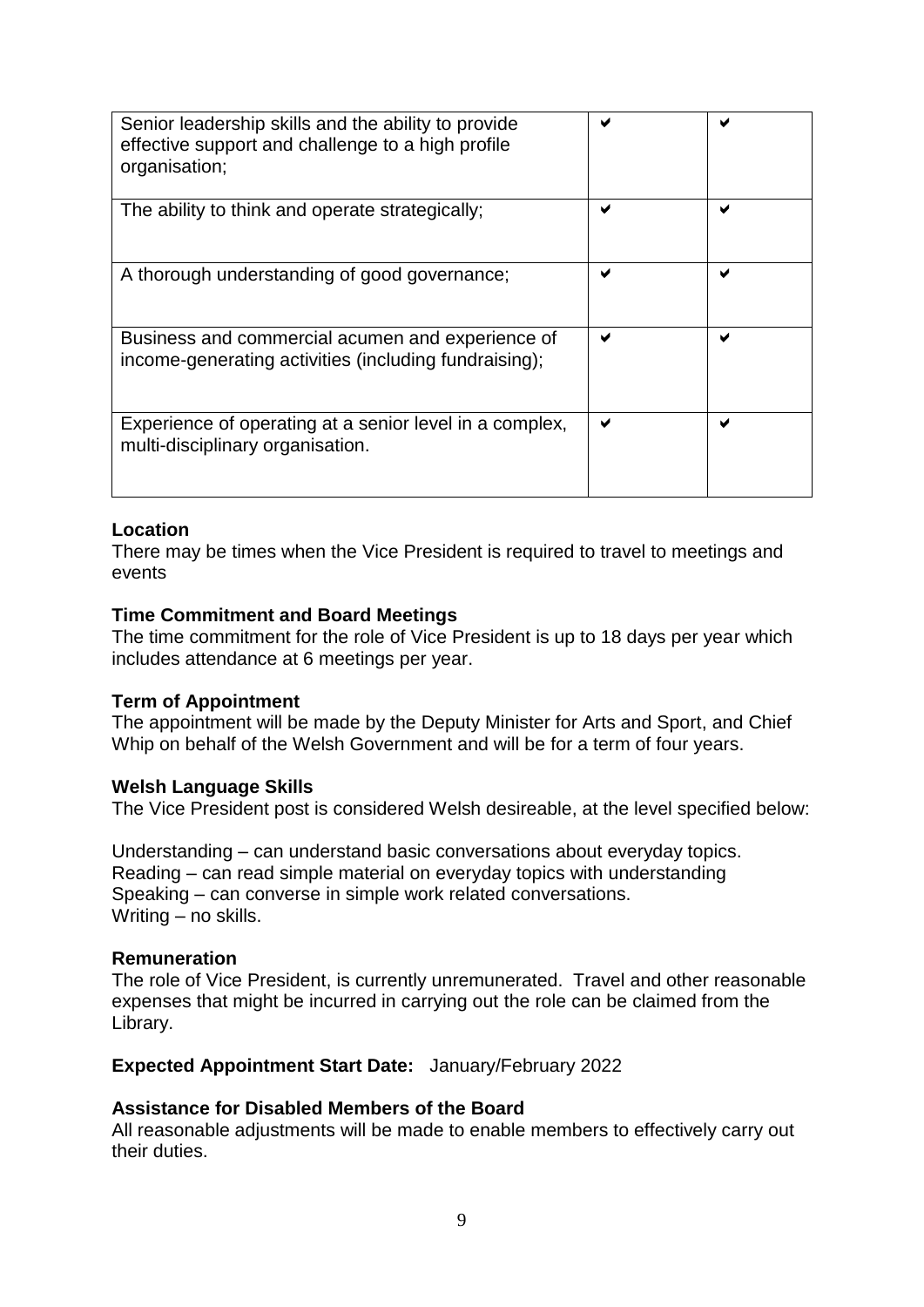| Senior leadership skills and the ability to provide<br>effective support and challenge to a high profile<br>organisation; |   |   |
|---------------------------------------------------------------------------------------------------------------------------|---|---|
| The ability to think and operate strategically;                                                                           |   |   |
| A thorough understanding of good governance;                                                                              | ✔ |   |
| Business and commercial acumen and experience of<br>income-generating activities (including fundraising);                 | м | ✔ |
| Experience of operating at a senior level in a complex,<br>multi-disciplinary organisation.                               |   |   |

## **Location**

There may be times when the Vice President is required to travel to meetings and events

#### **Time Commitment and Board Meetings**

The time commitment for the role of Vice President is up to 18 days per year which includes attendance at 6 meetings per year.

#### **Term of Appointment**

The appointment will be made by the Deputy Minister for Arts and Sport, and Chief Whip on behalf of the Welsh Government and will be for a term of four years.

#### **Welsh Language Skills**

The Vice President post is considered Welsh desireable, at the level specified below:

Understanding – can understand basic conversations about everyday topics. Reading – can read simple material on everyday topics with understanding Speaking – can converse in simple work related conversations. Writing – no skills.

#### **Remuneration**

The role of Vice President, is currently unremunerated. Travel and other reasonable expenses that might be incurred in carrying out the role can be claimed from the Library.

#### **Expected Appointment Start Date:** January/February 2022

#### **Assistance for Disabled Members of the Board**

All reasonable adjustments will be made to enable members to effectively carry out their duties.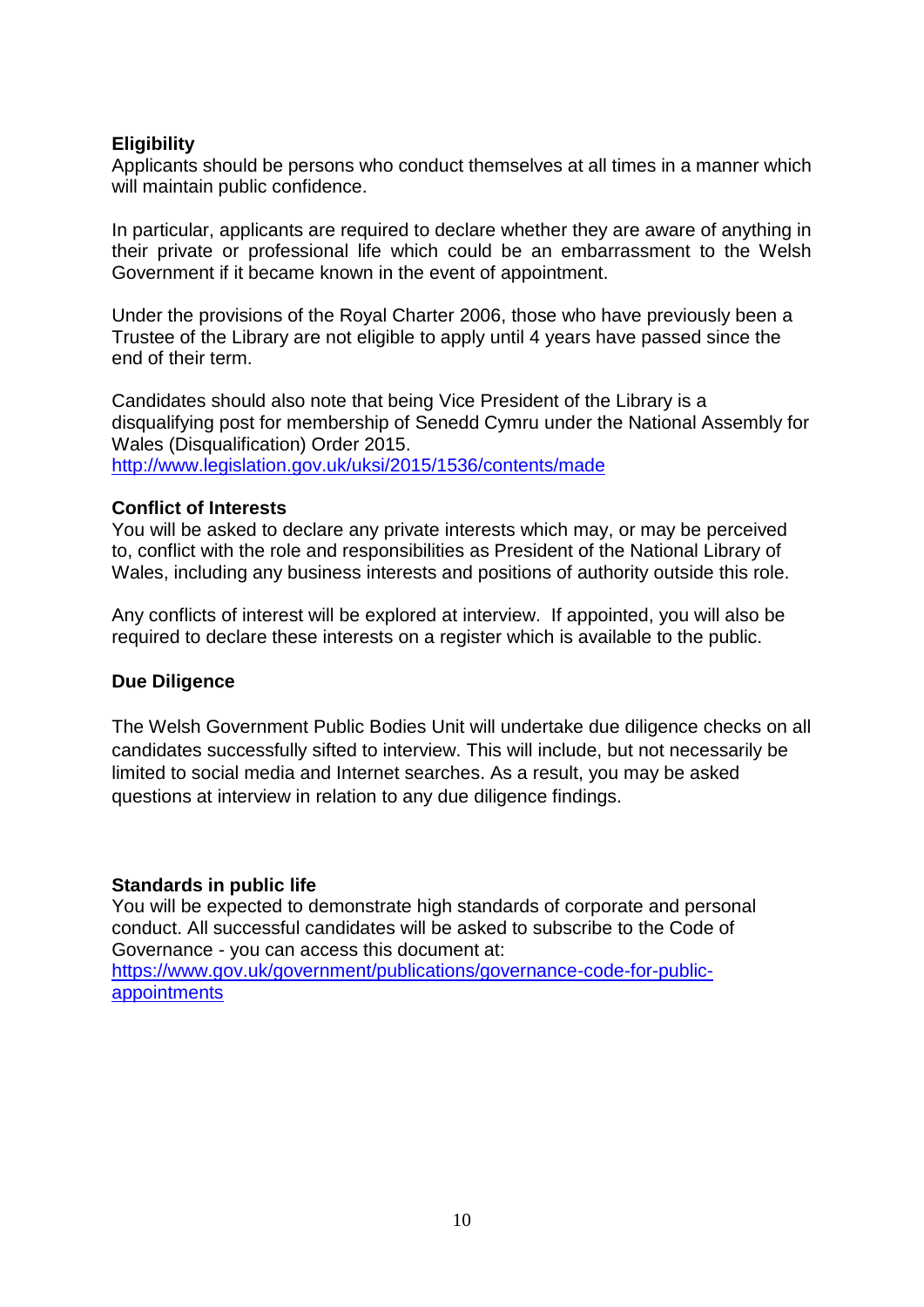## **Eligibility**

Applicants should be persons who conduct themselves at all times in a manner which will maintain public confidence.

In particular, applicants are required to declare whether they are aware of anything in their private or professional life which could be an embarrassment to the Welsh Government if it became known in the event of appointment.

Under the provisions of the Royal Charter 2006, those who have previously been a Trustee of the Library are not eligible to apply until 4 years have passed since the end of their term.

Candidates should also note that being Vice President of the Library is a disqualifying post for membership of Senedd Cymru under the National Assembly for Wales (Disqualification) Order 2015. <http://www.legislation.gov.uk/uksi/2015/1536/contents/made>

## **Conflict of Interests**

You will be asked to declare any private interests which may, or may be perceived to, conflict with the role and responsibilities as President of the National Library of Wales, including any business interests and positions of authority outside this role.

Any conflicts of interest will be explored at interview. If appointed, you will also be required to declare these interests on a register which is available to the public.

## **Due Diligence**

The Welsh Government Public Bodies Unit will undertake due diligence checks on all candidates successfully sifted to interview. This will include, but not necessarily be limited to social media and Internet searches. As a result, you may be asked questions at interview in relation to any due diligence findings.

## **Standards in public life**

You will be expected to demonstrate high standards of corporate and personal conduct. All successful candidates will be asked to subscribe to the Code of Governance - you can access this document at: [https://www.gov.uk/government/publications/governance-code-for-public](https://www.gov.uk/government/publications/governance-code-for-public-appointments)[appointments](https://www.gov.uk/government/publications/governance-code-for-public-appointments)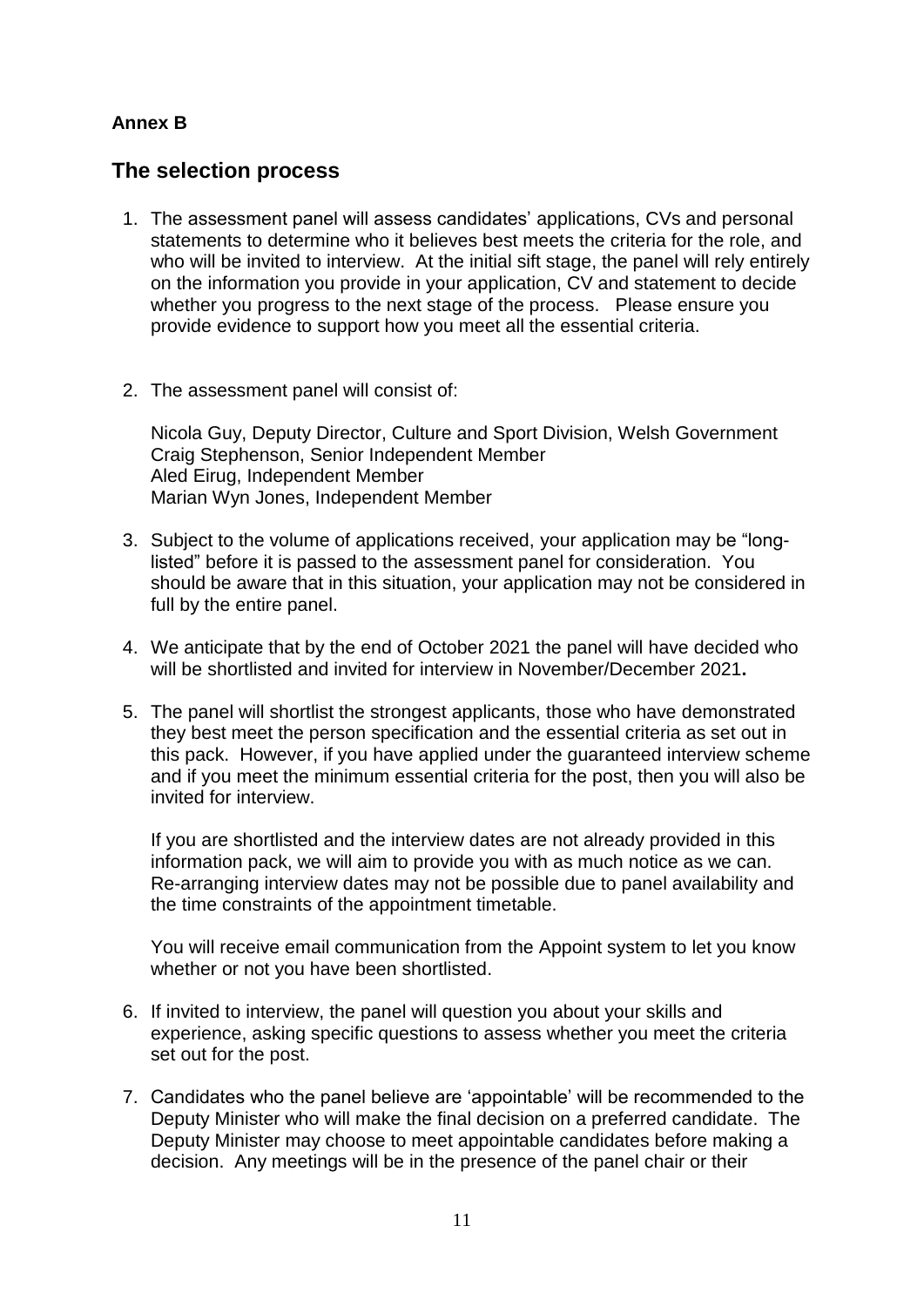# **Annex B**

# **The selection process**

- 1. The assessment panel will assess candidates' applications, CVs and personal statements to determine who it believes best meets the criteria for the role, and who will be invited to interview. At the initial sift stage, the panel will rely entirely on the information you provide in your application, CV and statement to decide whether you progress to the next stage of the process. Please ensure you provide evidence to support how you meet all the essential criteria.
- 2. The assessment panel will consist of:

Nicola Guy, Deputy Director, Culture and Sport Division, Welsh Government Craig Stephenson, Senior Independent Member Aled Eirug, Independent Member Marian Wyn Jones, Independent Member

- 3. Subject to the volume of applications received, your application may be "longlisted" before it is passed to the assessment panel for consideration. You should be aware that in this situation, your application may not be considered in full by the entire panel.
- 4. We anticipate that by the end of October 2021 the panel will have decided who will be shortlisted and invited for interview in November/December 2021**.**
- 5. The panel will shortlist the strongest applicants, those who have demonstrated they best meet the person specification and the essential criteria as set out in this pack. However, if you have applied under the guaranteed interview scheme and if you meet the minimum essential criteria for the post, then you will also be invited for interview.

If you are shortlisted and the interview dates are not already provided in this information pack, we will aim to provide you with as much notice as we can. Re-arranging interview dates may not be possible due to panel availability and the time constraints of the appointment timetable.

You will receive email communication from the Appoint system to let you know whether or not you have been shortlisted.

- 6. If invited to interview, the panel will question you about your skills and experience, asking specific questions to assess whether you meet the criteria set out for the post.
- 7. Candidates who the panel believe are 'appointable' will be recommended to the Deputy Minister who will make the final decision on a preferred candidate. The Deputy Minister may choose to meet appointable candidates before making a decision. Any meetings will be in the presence of the panel chair or their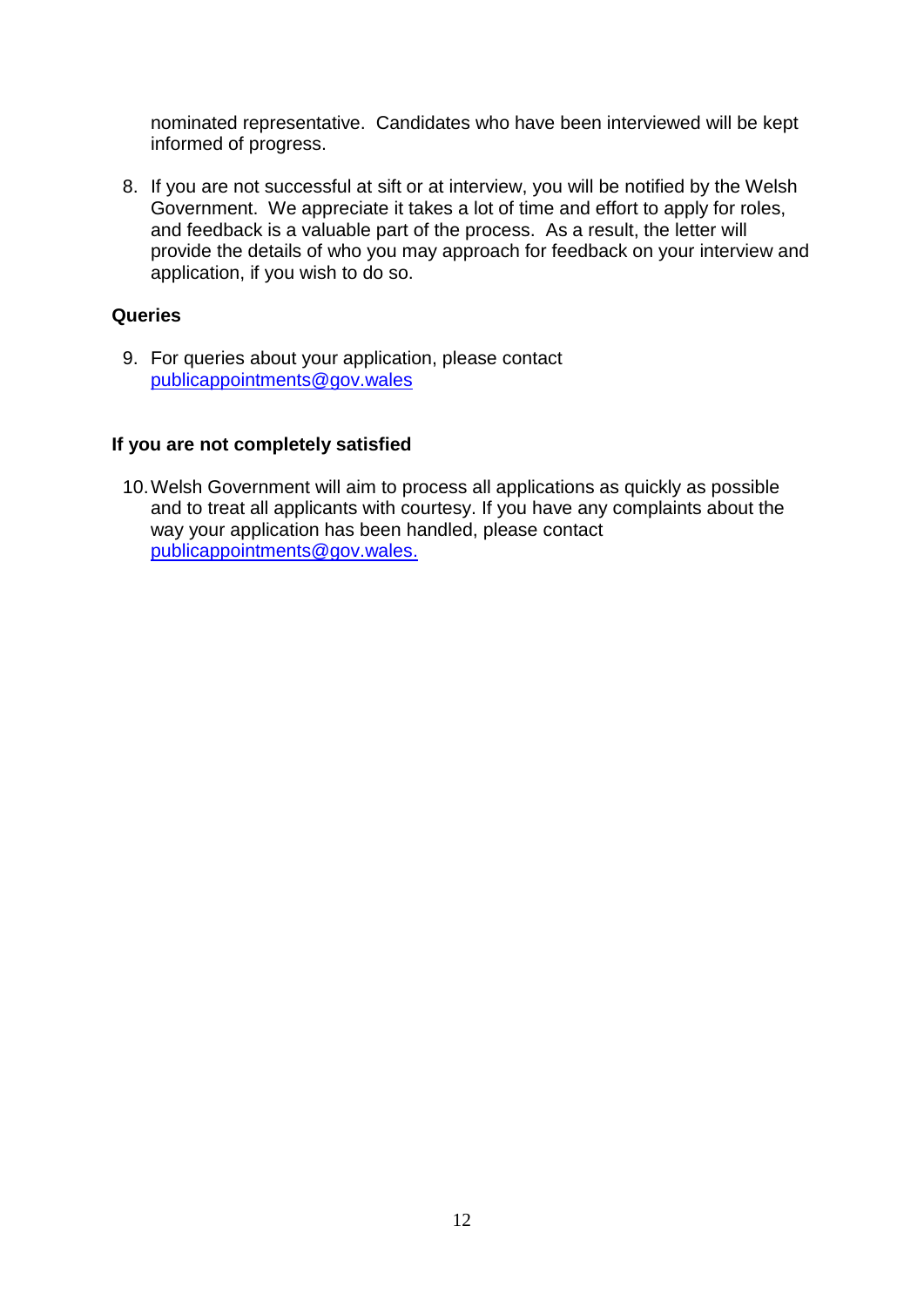nominated representative. Candidates who have been interviewed will be kept informed of progress.

8. If you are not successful at sift or at interview, you will be notified by the Welsh Government. We appreciate it takes a lot of time and effort to apply for roles, and feedback is a valuable part of the process. As a result, the letter will provide the details of who you may approach for feedback on your interview and application, if you wish to do so.

## **Queries**

9. For queries about your application, please contact [publicappointments@gov.wales](mailto:publicappointments@gov.wales)

## **If you are not completely satisfied**

10.Welsh Government will aim to process all applications as quickly as possible and to treat all applicants with courtesy. If you have any complaints about the way your application has been handled, please contact [publicappointments@gov.wales.](mailto:publicappointments@gov.wales)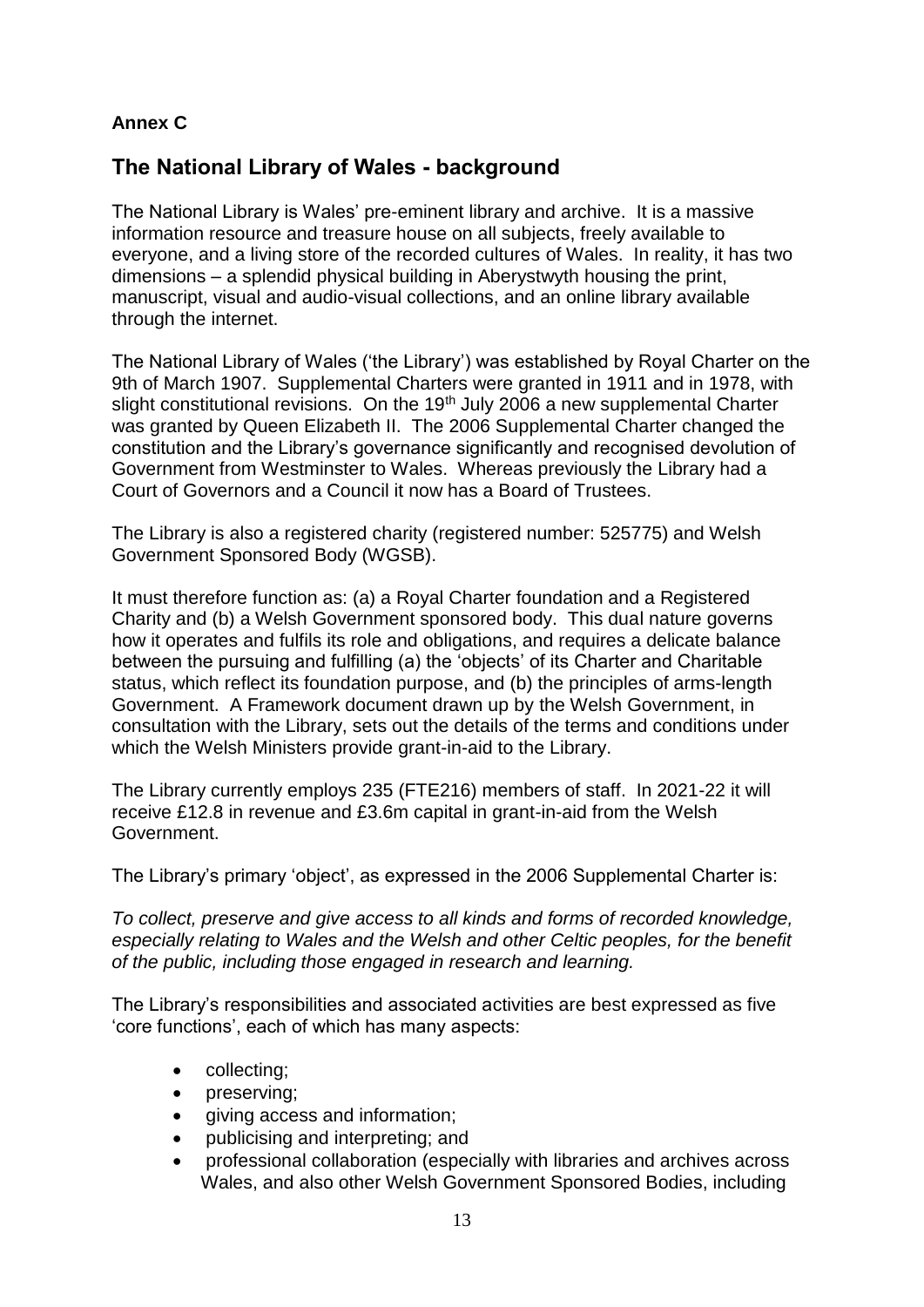# **Annex C**

# **The National Library of Wales - background**

The National Library is Wales' pre-eminent library and archive. It is a massive information resource and treasure house on all subjects, freely available to everyone, and a living store of the recorded cultures of Wales. In reality, it has two dimensions – a splendid physical building in Aberystwyth housing the print, manuscript, visual and audio-visual collections, and an online library available through the internet.

The National Library of Wales ('the Library') was established by Royal Charter on the 9th of March 1907. Supplemental Charters were granted in 1911 and in 1978, with slight constitutional revisions. On the 19<sup>th</sup> July 2006 a new supplemental Charter was granted by Queen Elizabeth II. The 2006 Supplemental Charter changed the constitution and the Library's governance significantly and recognised devolution of Government from Westminster to Wales. Whereas previously the Library had a Court of Governors and a Council it now has a Board of Trustees.

The Library is also a registered charity (registered number: 525775) and Welsh Government Sponsored Body (WGSB).

It must therefore function as: (a) a Royal Charter foundation and a Registered Charity and (b) a Welsh Government sponsored body. This dual nature governs how it operates and fulfils its role and obligations, and requires a delicate balance between the pursuing and fulfilling (a) the 'objects' of its Charter and Charitable status, which reflect its foundation purpose, and (b) the principles of arms-length Government. A Framework document drawn up by the Welsh Government, in consultation with the Library, sets out the details of the terms and conditions under which the Welsh Ministers provide grant-in-aid to the Library.

The Library currently employs 235 (FTE216) members of staff. In 2021-22 it will receive £12.8 in revenue and £3.6m capital in grant-in-aid from the Welsh Government.

The Library's primary 'object', as expressed in the 2006 Supplemental Charter is:

*To collect, preserve and give access to all kinds and forms of recorded knowledge, especially relating to Wales and the Welsh and other Celtic peoples, for the benefit of the public, including those engaged in research and learning.*

The Library's responsibilities and associated activities are best expressed as five 'core functions', each of which has many aspects:

- collecting;
- preserving;
- giving access and information;
- publicising and interpreting; and
- professional collaboration (especially with libraries and archives across Wales, and also other Welsh Government Sponsored Bodies, including